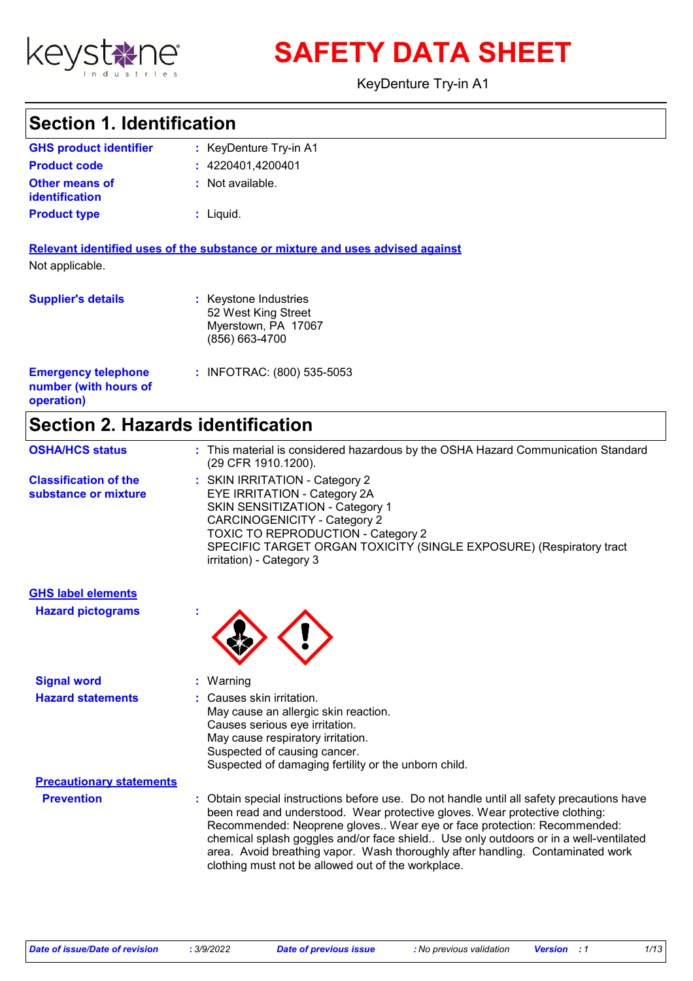

**SAFETY DATA SHEET**

KeyDenture Try-in A1

# **Section 1. Identification**

| <b>GHS product identifier</b>                  | : KeyDenture Try-in A1 |
|------------------------------------------------|------------------------|
| <b>Product code</b>                            | : 4220401.4200401      |
| <b>Other means of</b><br><b>identification</b> | : Not available.       |
| <b>Product type</b>                            | : Liquid.              |

**Relevant identified uses of the substance or mixture and uses advised against** Not applicable.

| <b>Supplier's details</b>                                         | : Keystone Industries<br>52 West King Street<br>Myerstown, PA 17067<br>(856) 663-4700 |
|-------------------------------------------------------------------|---------------------------------------------------------------------------------------|
| <b>Emergency telephone</b><br>number (with hours of<br>operation) | : INFOTRAC: (800) 535-5053                                                            |

# **Section 2. Hazards identification**

| <b>OSHA/HCS status</b>                               | : This material is considered hazardous by the OSHA Hazard Communication Standard<br>(29 CFR 1910.1200).                                                                                                                                                                                        |
|------------------------------------------------------|-------------------------------------------------------------------------------------------------------------------------------------------------------------------------------------------------------------------------------------------------------------------------------------------------|
| <b>Classification of the</b><br>substance or mixture | : SKIN IRRITATION - Category 2<br>EYE IRRITATION - Category 2A<br><b>SKIN SENSITIZATION - Category 1</b><br><b>CARCINOGENICITY - Category 2</b><br><b>TOXIC TO REPRODUCTION - Category 2</b><br>SPECIFIC TARGET ORGAN TOXICITY (SINGLE EXPOSURE) (Respiratory tract<br>irritation) - Category 3 |

| <b>GHS label elements</b><br><b>Hazard pictograms</b> | $\mathbf{r}$                                                                                                                                                                                                                                                                                                                                                                                                                                                                       |
|-------------------------------------------------------|------------------------------------------------------------------------------------------------------------------------------------------------------------------------------------------------------------------------------------------------------------------------------------------------------------------------------------------------------------------------------------------------------------------------------------------------------------------------------------|
| <b>Signal word</b>                                    | $:$ Warning                                                                                                                                                                                                                                                                                                                                                                                                                                                                        |
| <b>Hazard statements</b>                              | : Causes skin irritation.<br>May cause an allergic skin reaction.<br>Causes serious eye irritation.<br>May cause respiratory irritation.<br>Suspected of causing cancer.<br>Suspected of damaging fertility or the unborn child.                                                                                                                                                                                                                                                   |
| <b>Precautionary statements</b>                       |                                                                                                                                                                                                                                                                                                                                                                                                                                                                                    |
| <b>Prevention</b>                                     | : Obtain special instructions before use. Do not handle until all safety precautions have<br>been read and understood. Wear protective gloves. Wear protective clothing:<br>Recommended: Neoprene gloves Wear eye or face protection: Recommended:<br>chemical splash goggles and/or face shield Use only outdoors or in a well-ventilated<br>area. Avoid breathing vapor. Wash thoroughly after handling. Contaminated work<br>clothing must not be allowed out of the workplace. |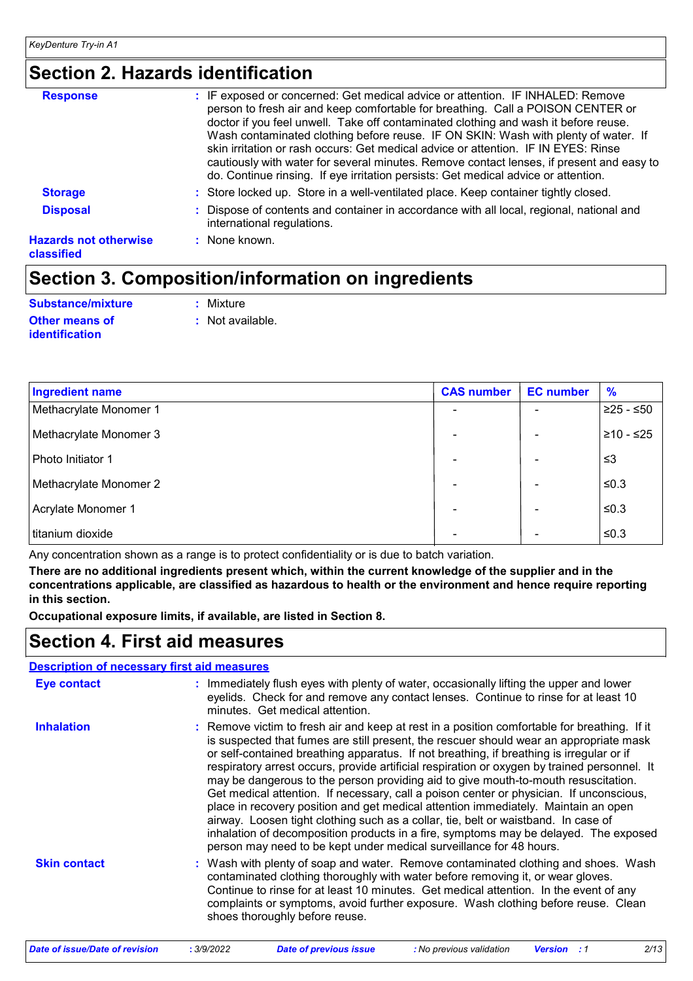# **Section 2. Hazards identification**

| : IF exposed or concerned: Get medical advice or attention. IF INHALED: Remove<br>person to fresh air and keep comfortable for breathing. Call a POISON CENTER or<br>doctor if you feel unwell. Take off contaminated clothing and wash it before reuse.<br>Wash contaminated clothing before reuse. IF ON SKIN: Wash with plenty of water. If<br>skin irritation or rash occurs: Get medical advice or attention. IF IN EYES: Rinse<br>cautiously with water for several minutes. Remove contact lenses, if present and easy to<br>do. Continue rinsing. If eye irritation persists: Get medical advice or attention. |
|------------------------------------------------------------------------------------------------------------------------------------------------------------------------------------------------------------------------------------------------------------------------------------------------------------------------------------------------------------------------------------------------------------------------------------------------------------------------------------------------------------------------------------------------------------------------------------------------------------------------|
| : Store locked up. Store in a well-ventilated place. Keep container tightly closed.                                                                                                                                                                                                                                                                                                                                                                                                                                                                                                                                    |
| : Dispose of contents and container in accordance with all local, regional, national and<br>international regulations.                                                                                                                                                                                                                                                                                                                                                                                                                                                                                                 |
| $:$ None known.                                                                                                                                                                                                                                                                                                                                                                                                                                                                                                                                                                                                        |
|                                                                                                                                                                                                                                                                                                                                                                                                                                                                                                                                                                                                                        |

# **Section 3. Composition/information on ingredients**

| Substance/mixture     | : Mixture        |
|-----------------------|------------------|
| <b>Other means of</b> | : Not available. |
| <b>identification</b> |                  |

| <b>Ingredient name</b> | <b>CAS number</b> | <b>EC</b> number | $\frac{9}{6}$ |
|------------------------|-------------------|------------------|---------------|
| Methacrylate Monomer 1 |                   |                  | $≥25 - ≤50$   |
| Methacrylate Monomer 3 |                   |                  | $≥10 - ≤25$   |
| Photo Initiator 1      |                   |                  | ≤3            |
| Methacrylate Monomer 2 |                   |                  | $≤0.3$        |
| Acrylate Monomer 1     |                   |                  | $≤0.3$        |
| titanium dioxide       |                   |                  | $≤0.3$        |

Any concentration shown as a range is to protect confidentiality or is due to batch variation.

**There are no additional ingredients present which, within the current knowledge of the supplier and in the concentrations applicable, are classified as hazardous to health or the environment and hence require reporting in this section.**

**Occupational exposure limits, if available, are listed in Section 8.**

### **Section 4. First aid measures**

#### **Description of necessary first aid measures**

| <b>Eye contact</b>  | : Immediately flush eyes with plenty of water, occasionally lifting the upper and lower<br>eyelids. Check for and remove any contact lenses. Continue to rinse for at least 10<br>minutes. Get medical attention.                                                                                                                                                                                                                                                                                                                                                                                                                                                                                                                                                                                                                                                                                              |
|---------------------|----------------------------------------------------------------------------------------------------------------------------------------------------------------------------------------------------------------------------------------------------------------------------------------------------------------------------------------------------------------------------------------------------------------------------------------------------------------------------------------------------------------------------------------------------------------------------------------------------------------------------------------------------------------------------------------------------------------------------------------------------------------------------------------------------------------------------------------------------------------------------------------------------------------|
| <b>Inhalation</b>   | : Remove victim to fresh air and keep at rest in a position comfortable for breathing. If it<br>is suspected that fumes are still present, the rescuer should wear an appropriate mask<br>or self-contained breathing apparatus. If not breathing, if breathing is irregular or if<br>respiratory arrest occurs, provide artificial respiration or oxygen by trained personnel. It<br>may be dangerous to the person providing aid to give mouth-to-mouth resuscitation.<br>Get medical attention. If necessary, call a poison center or physician. If unconscious,<br>place in recovery position and get medical attention immediately. Maintain an open<br>airway. Loosen tight clothing such as a collar, tie, belt or waistband. In case of<br>inhalation of decomposition products in a fire, symptoms may be delayed. The exposed<br>person may need to be kept under medical surveillance for 48 hours. |
| <b>Skin contact</b> | : Wash with plenty of soap and water. Remove contaminated clothing and shoes. Wash<br>contaminated clothing thoroughly with water before removing it, or wear gloves.<br>Continue to rinse for at least 10 minutes. Get medical attention. In the event of any<br>complaints or symptoms, avoid further exposure. Wash clothing before reuse. Clean<br>shoes thoroughly before reuse.                                                                                                                                                                                                                                                                                                                                                                                                                                                                                                                          |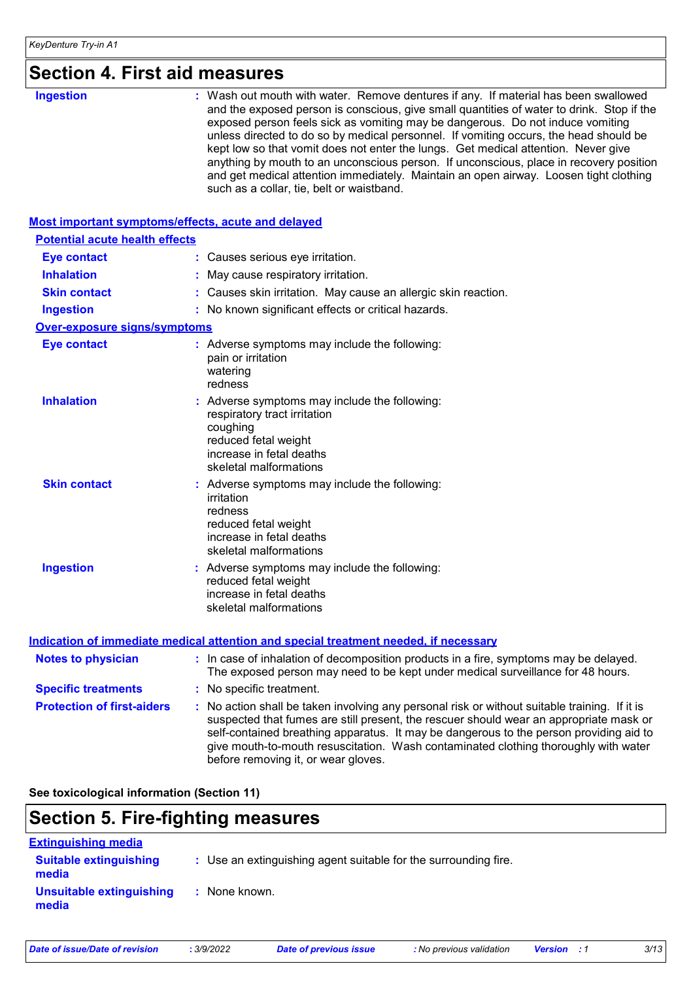# **Section 4. First aid measures**

| and get medical attention immediately. Maintain an open airway. Loosen tight clothing<br>such as a collar, tie, belt or waistband. |
|------------------------------------------------------------------------------------------------------------------------------------|
|------------------------------------------------------------------------------------------------------------------------------------|

#### **Most important symptoms/effects, acute and delayed**

| <b>Potential acute health effects</b> |                                                                                                                                                                          |
|---------------------------------------|--------------------------------------------------------------------------------------------------------------------------------------------------------------------------|
| <b>Eye contact</b>                    | : Causes serious eye irritation.                                                                                                                                         |
| <b>Inhalation</b>                     | : May cause respiratory irritation.                                                                                                                                      |
| <b>Skin contact</b>                   | : Causes skin irritation. May cause an allergic skin reaction.                                                                                                           |
| <b>Ingestion</b>                      | : No known significant effects or critical hazards.                                                                                                                      |
| <b>Over-exposure signs/symptoms</b>   |                                                                                                                                                                          |
| <b>Eye contact</b>                    | : Adverse symptoms may include the following:<br>pain or irritation<br>watering<br>redness                                                                               |
| <b>Inhalation</b>                     | : Adverse symptoms may include the following:<br>respiratory tract irritation<br>coughing<br>reduced fetal weight<br>increase in fetal deaths<br>skeletal malformations  |
| <b>Skin contact</b>                   | : Adverse symptoms may include the following:<br>irritation<br>redness<br>reduced fetal weight<br>increase in fetal deaths<br>skeletal malformations                     |
| <b>Ingestion</b>                      | : Adverse symptoms may include the following:<br>reduced fetal weight<br>increase in fetal deaths<br>skeletal malformations                                              |
|                                       | <b>Indication of immediate medical attention and special treatment needed, if necessary</b>                                                                              |
| <b>Notes to physician</b>             | : In case of inhalation of decomposition products in a fire, symptoms may be delayed.<br>The exposed person may need to be kept under medical surveillance for 48 hours. |
| <b>Specific treatments</b>            | : No specific treatment.                                                                                                                                                 |
| <b>Protection of first-aiders</b>     | No action shall be taken involving any personal risk or without suitable training. If it is                                                                              |

### give mouth-to-mouth resuscitation. Wash contaminated clothing thoroughly with water before removing it, or wear gloves.

#### **See toxicological information (Section 11)**

## **Section 5. Fire-fighting measures**

| <b>Extinguishing media</b>             |                                                                 |
|----------------------------------------|-----------------------------------------------------------------|
| <b>Suitable extinguishing</b><br>media | : Use an extinguishing agent suitable for the surrounding fire. |
| Unsuitable extinguishing<br>media      | : None known.                                                   |

suspected that fumes are still present, the rescuer should wear an appropriate mask or self-contained breathing apparatus. It may be dangerous to the person providing aid to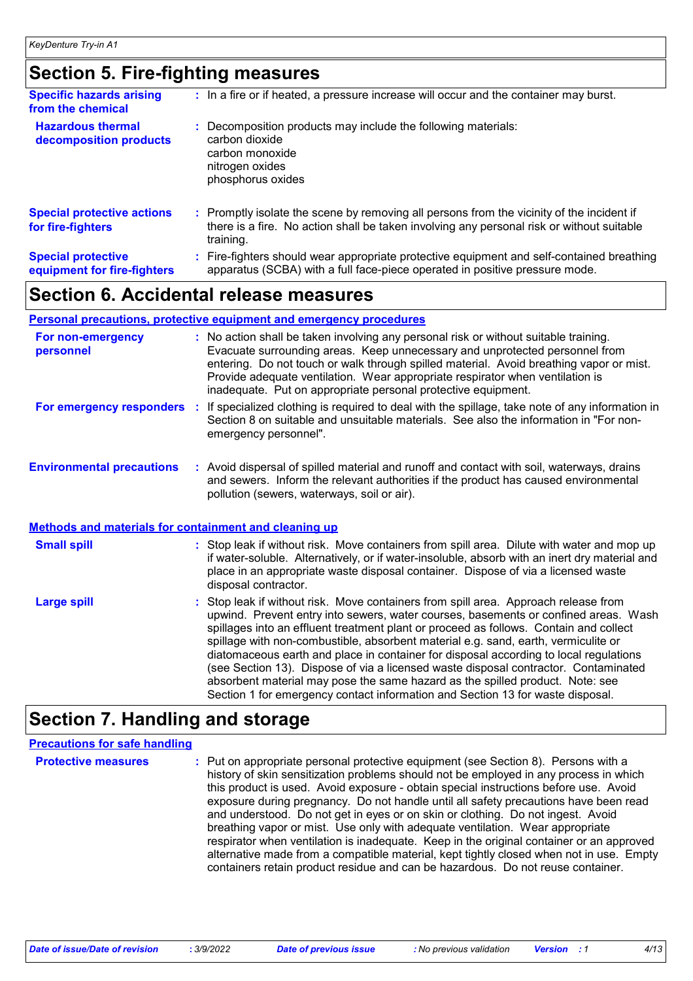### **Section 5. Fire-fighting measures**

| <b>Specific hazards arising</b><br>from the chemical     | : In a fire or if heated, a pressure increase will occur and the container may burst.                                                                                                               |
|----------------------------------------------------------|-----------------------------------------------------------------------------------------------------------------------------------------------------------------------------------------------------|
| <b>Hazardous thermal</b><br>decomposition products       | Decomposition products may include the following materials:<br>carbon dioxide<br>carbon monoxide<br>nitrogen oxides<br>phosphorus oxides                                                            |
| <b>Special protective actions</b><br>for fire-fighters   | : Promptly isolate the scene by removing all persons from the vicinity of the incident if<br>there is a fire. No action shall be taken involving any personal risk or without suitable<br>training. |
| <b>Special protective</b><br>equipment for fire-fighters | Fire-fighters should wear appropriate protective equipment and self-contained breathing<br>apparatus (SCBA) with a full face-piece operated in positive pressure mode.                              |

### **Section 6. Accidental release measures**

#### **Personal precautions, protective equipment and emergency procedures**

| For non-emergency<br>personnel                        | : No action shall be taken involving any personal risk or without suitable training.<br>Evacuate surrounding areas. Keep unnecessary and unprotected personnel from<br>entering. Do not touch or walk through spilled material. Avoid breathing vapor or mist.<br>Provide adequate ventilation. Wear appropriate respirator when ventilation is<br>inadequate. Put on appropriate personal protective equipment. |
|-------------------------------------------------------|------------------------------------------------------------------------------------------------------------------------------------------------------------------------------------------------------------------------------------------------------------------------------------------------------------------------------------------------------------------------------------------------------------------|
| For emergency responders                              | : If specialized clothing is required to deal with the spillage, take note of any information in<br>Section 8 on suitable and unsuitable materials. See also the information in "For non-<br>emergency personnel".                                                                                                                                                                                               |
| <b>Environmental precautions</b>                      | : Avoid dispersal of spilled material and runoff and contact with soil, waterways, drains<br>and sewers. Inform the relevant authorities if the product has caused environmental<br>pollution (sewers, waterways, soil or air).                                                                                                                                                                                  |
| Methods and materials for containment and cleaning up |                                                                                                                                                                                                                                                                                                                                                                                                                  |

| <b>Small spill</b> | : Stop leak if without risk. Move containers from spill area. Dilute with water and mop up<br>if water-soluble. Alternatively, or if water-insoluble, absorb with an inert dry material and<br>place in an appropriate waste disposal container. Dispose of via a licensed waste<br>disposal contractor.                                                                                                                                                                                                                                                                                                                                                                                                     |
|--------------------|--------------------------------------------------------------------------------------------------------------------------------------------------------------------------------------------------------------------------------------------------------------------------------------------------------------------------------------------------------------------------------------------------------------------------------------------------------------------------------------------------------------------------------------------------------------------------------------------------------------------------------------------------------------------------------------------------------------|
| <b>Large spill</b> | : Stop leak if without risk. Move containers from spill area. Approach release from<br>upwind. Prevent entry into sewers, water courses, basements or confined areas. Wash<br>spillages into an effluent treatment plant or proceed as follows. Contain and collect<br>spillage with non-combustible, absorbent material e.g. sand, earth, vermiculite or<br>diatomaceous earth and place in container for disposal according to local regulations<br>(see Section 13). Dispose of via a licensed waste disposal contractor. Contaminated<br>absorbent material may pose the same hazard as the spilled product. Note: see<br>Section 1 for emergency contact information and Section 13 for waste disposal. |

### **Section 7. Handling and storage**

#### **Precautions for safe handling**

**Protective measures : Put on appropriate personal protective equipment (see Section 8). Persons with a metally** history of skin sensitization problems should not be employed in any process in which this product is used. Avoid exposure - obtain special instructions before use. Avoid exposure during pregnancy. Do not handle until all safety precautions have been read and understood. Do not get in eyes or on skin or clothing. Do not ingest. Avoid breathing vapor or mist. Use only with adequate ventilation. Wear appropriate respirator when ventilation is inadequate. Keep in the original container or an approved alternative made from a compatible material, kept tightly closed when not in use. Empty containers retain product residue and can be hazardous. Do not reuse container.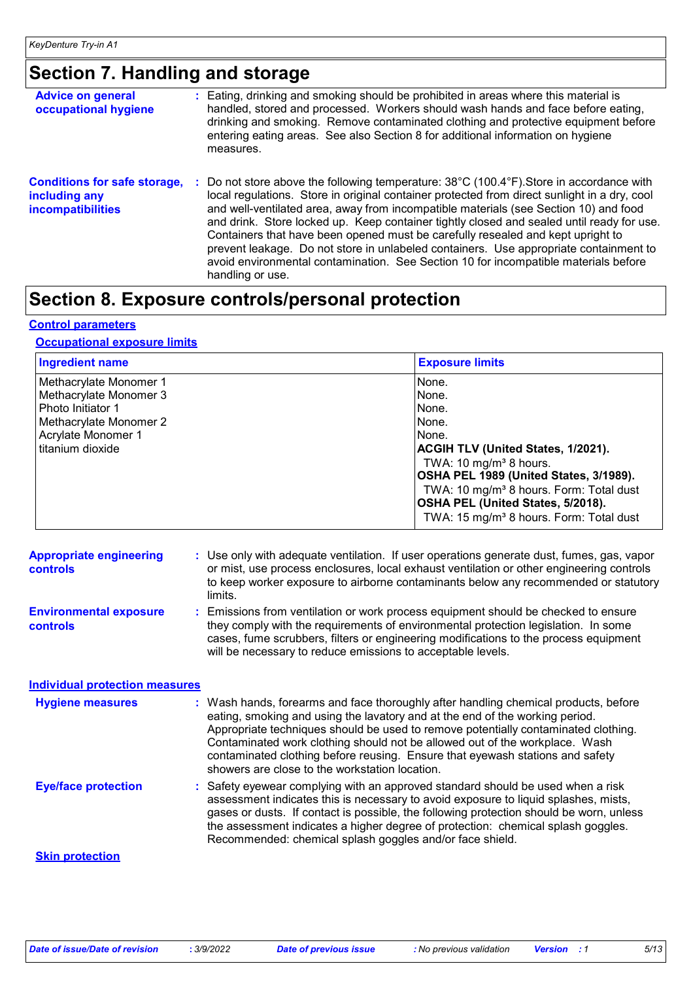# **Section 7. Handling and storage**

| <b>Advice on general</b><br>occupational hygiene                                 |  | : Eating, drinking and smoking should be prohibited in areas where this material is<br>handled, stored and processed. Workers should wash hands and face before eating,<br>drinking and smoking. Remove contaminated clothing and protective equipment before<br>entering eating areas. See also Section 8 for additional information on hygiene<br>measures.                                                                                                                                                                                                                                                                                                            |
|----------------------------------------------------------------------------------|--|--------------------------------------------------------------------------------------------------------------------------------------------------------------------------------------------------------------------------------------------------------------------------------------------------------------------------------------------------------------------------------------------------------------------------------------------------------------------------------------------------------------------------------------------------------------------------------------------------------------------------------------------------------------------------|
| <b>Conditions for safe storage,</b><br>including any<br><b>incompatibilities</b> |  | Do not store above the following temperature: 38°C (100.4°F). Store in accordance with<br>÷.<br>local regulations. Store in original container protected from direct sunlight in a dry, cool<br>and well-ventilated area, away from incompatible materials (see Section 10) and food<br>and drink. Store locked up. Keep container tightly closed and sealed until ready for use.<br>Containers that have been opened must be carefully resealed and kept upright to<br>prevent leakage. Do not store in unlabeled containers. Use appropriate containment to<br>avoid environmental contamination. See Section 10 for incompatible materials before<br>handling or use. |

# **Section 8. Exposure controls/personal protection**

#### **Control parameters**

#### **Occupational exposure limits**

| <b>Ingredient name</b>                                                                          | <b>Exposure limits</b>                                                                                                                                                                                                                                                                |
|-------------------------------------------------------------------------------------------------|---------------------------------------------------------------------------------------------------------------------------------------------------------------------------------------------------------------------------------------------------------------------------------------|
| Methacrylate Monomer 1<br>Methacrylate Monomer 3<br>Photo Initiator 1<br>Methacrylate Monomer 2 | None.<br>None.<br>None.<br>None.                                                                                                                                                                                                                                                      |
| Acrylate Monomer 1<br>titanium dioxide                                                          | None.<br><b>ACGIH TLV (United States, 1/2021).</b><br>TWA: 10 mg/m <sup>3</sup> 8 hours.<br>OSHA PEL 1989 (United States, 3/1989).<br>TWA: 10 mg/m <sup>3</sup> 8 hours. Form: Total dust<br>OSHA PEL (United States, 5/2018).<br>TWA: 15 mg/m <sup>3</sup> 8 hours. Form: Total dust |

| <b>Appropriate engineering</b><br><b>controls</b> | : Use only with adequate ventilation. If user operations generate dust, fumes, gas, vapor<br>or mist, use process enclosures, local exhaust ventilation or other engineering controls<br>to keep worker exposure to airborne contaminants below any recommended or statutory<br>limits.                                                                                                                                                                                     |
|---------------------------------------------------|-----------------------------------------------------------------------------------------------------------------------------------------------------------------------------------------------------------------------------------------------------------------------------------------------------------------------------------------------------------------------------------------------------------------------------------------------------------------------------|
| <b>Environmental exposure</b><br><b>controls</b>  | Emissions from ventilation or work process equipment should be checked to ensure<br>they comply with the requirements of environmental protection legislation. In some<br>cases, fume scrubbers, filters or engineering modifications to the process equipment<br>will be necessary to reduce emissions to acceptable levels.                                                                                                                                               |
| <b>Individual protection measures</b>             |                                                                                                                                                                                                                                                                                                                                                                                                                                                                             |
| <b>Hygiene measures</b>                           | : Wash hands, forearms and face thoroughly after handling chemical products, before<br>eating, smoking and using the lavatory and at the end of the working period.<br>Appropriate techniques should be used to remove potentially contaminated clothing.<br>Contaminated work clothing should not be allowed out of the workplace. Wash<br>contaminated clothing before reusing. Ensure that eyewash stations and safety<br>showers are close to the workstation location. |
| <b>Eye/face protection</b>                        | : Safety eyewear complying with an approved standard should be used when a risk<br>assessment indicates this is necessary to avoid exposure to liquid splashes, mists,<br>gases or dusts. If contact is possible, the following protection should be worn, unless<br>the assessment indicates a higher degree of protection: chemical splash goggles.<br>Recommended: chemical splash goggles and/or face shield.                                                           |
| <b>Skin protection</b>                            |                                                                                                                                                                                                                                                                                                                                                                                                                                                                             |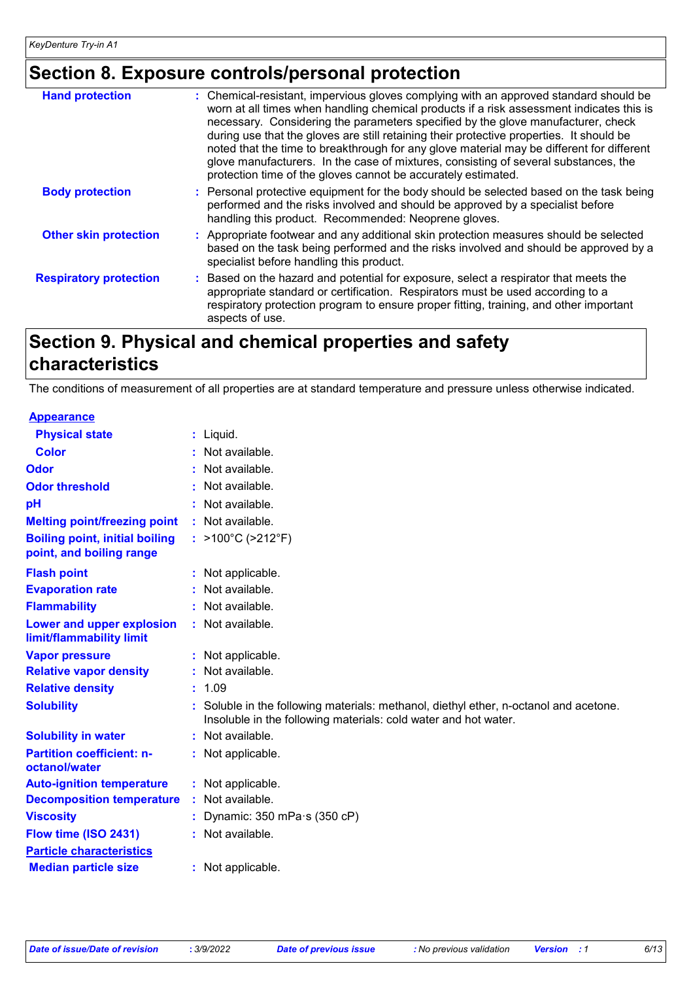# **Section 8. Exposure controls/personal protection**

| <b>Hand protection</b>        | : Chemical-resistant, impervious gloves complying with an approved standard should be<br>worn at all times when handling chemical products if a risk assessment indicates this is<br>necessary. Considering the parameters specified by the glove manufacturer, check<br>during use that the gloves are still retaining their protective properties. It should be<br>noted that the time to breakthrough for any glove material may be different for different<br>glove manufacturers. In the case of mixtures, consisting of several substances, the<br>protection time of the gloves cannot be accurately estimated. |
|-------------------------------|------------------------------------------------------------------------------------------------------------------------------------------------------------------------------------------------------------------------------------------------------------------------------------------------------------------------------------------------------------------------------------------------------------------------------------------------------------------------------------------------------------------------------------------------------------------------------------------------------------------------|
| <b>Body protection</b>        | : Personal protective equipment for the body should be selected based on the task being<br>performed and the risks involved and should be approved by a specialist before<br>handling this product. Recommended: Neoprene gloves.                                                                                                                                                                                                                                                                                                                                                                                      |
| <b>Other skin protection</b>  | : Appropriate footwear and any additional skin protection measures should be selected<br>based on the task being performed and the risks involved and should be approved by a<br>specialist before handling this product.                                                                                                                                                                                                                                                                                                                                                                                              |
| <b>Respiratory protection</b> | : Based on the hazard and potential for exposure, select a respirator that meets the<br>appropriate standard or certification. Respirators must be used according to a<br>respiratory protection program to ensure proper fitting, training, and other important<br>aspects of use.                                                                                                                                                                                                                                                                                                                                    |

# **Section 9. Physical and chemical properties and safety characteristics**

The conditions of measurement of all properties are at standard temperature and pressure unless otherwise indicated.

| <b>Appearance</b>                                                 |                                                                                                                                                        |
|-------------------------------------------------------------------|--------------------------------------------------------------------------------------------------------------------------------------------------------|
| <b>Physical state</b>                                             | $:$ Liquid.                                                                                                                                            |
| Color                                                             | $:$ Not available.                                                                                                                                     |
| <b>Odor</b>                                                       | Not available.                                                                                                                                         |
| <b>Odor threshold</b>                                             | Not available.                                                                                                                                         |
| pH                                                                | : Not available.                                                                                                                                       |
| <b>Melting point/freezing point</b>                               | : Not available.                                                                                                                                       |
| <b>Boiling point, initial boiling</b><br>point, and boiling range | : >100°C (>212°F)                                                                                                                                      |
| <b>Flash point</b>                                                | : Not applicable.                                                                                                                                      |
| <b>Evaporation rate</b>                                           | : Not available.                                                                                                                                       |
| <b>Flammability</b>                                               | : Not available.                                                                                                                                       |
| Lower and upper explosion<br>limit/flammability limit             | : Not available.                                                                                                                                       |
| <b>Vapor pressure</b>                                             | : Not applicable.                                                                                                                                      |
| <b>Relative vapor density</b>                                     | : Not available.                                                                                                                                       |
| <b>Relative density</b>                                           | : 1.09                                                                                                                                                 |
| <b>Solubility</b>                                                 | Soluble in the following materials: methanol, diethyl ether, n-octanol and acetone.<br>Insoluble in the following materials: cold water and hot water. |
| <b>Solubility in water</b>                                        | : Not available.                                                                                                                                       |
| <b>Partition coefficient: n-</b><br>octanol/water                 | : Not applicable.                                                                                                                                      |
| <b>Auto-ignition temperature</b>                                  | : Not applicable.                                                                                                                                      |
| <b>Decomposition temperature</b>                                  | : Not available.                                                                                                                                       |
| <b>Viscosity</b>                                                  | Dynamic: $350$ mPa $\cdot$ s ( $350$ cP)                                                                                                               |
| Flow time (ISO 2431)                                              | : Not available.                                                                                                                                       |
| <b>Particle characteristics</b>                                   |                                                                                                                                                        |
| <b>Median particle size</b>                                       | : Not applicable.                                                                                                                                      |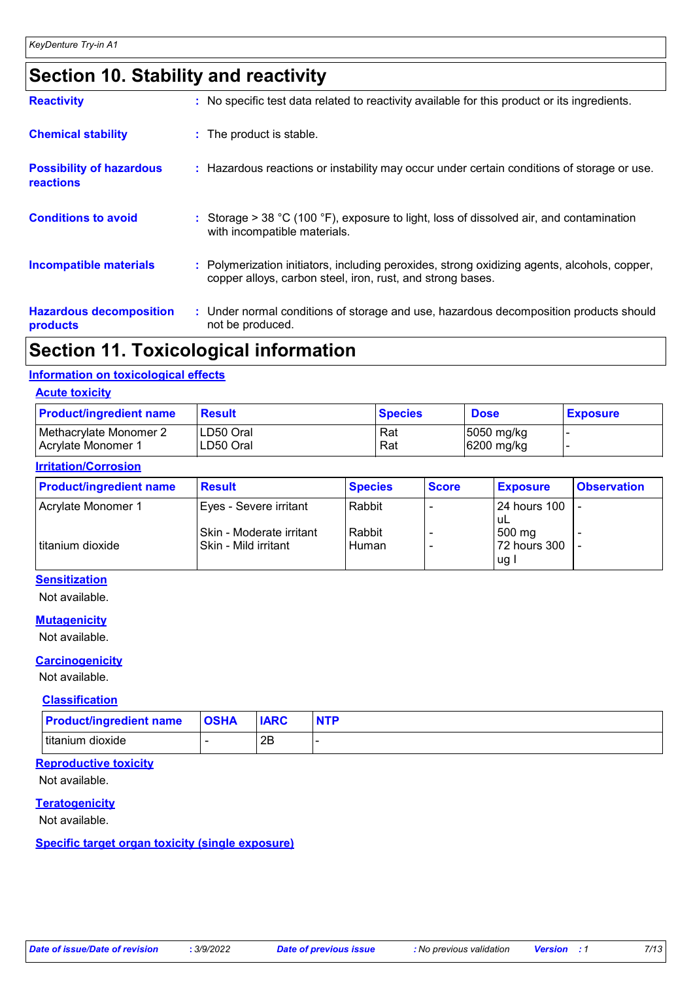# **Section 10. Stability and reactivity**

| <b>Reactivity</b>                            | : No specific test data related to reactivity available for this product or its ingredients.                                                               |
|----------------------------------------------|------------------------------------------------------------------------------------------------------------------------------------------------------------|
| <b>Chemical stability</b>                    | : The product is stable.                                                                                                                                   |
| <b>Possibility of hazardous</b><br>reactions | : Hazardous reactions or instability may occur under certain conditions of storage or use.                                                                 |
| <b>Conditions to avoid</b>                   | : Storage > 38 °C (100 °F), exposure to light, loss of dissolved air, and contamination<br>with incompatible materials.                                    |
| <b>Incompatible materials</b>                | : Polymerization initiators, including peroxides, strong oxidizing agents, alcohols, copper,<br>copper alloys, carbon steel, iron, rust, and strong bases. |
| <b>Hazardous decomposition</b><br>products   | : Under normal conditions of storage and use, hazardous decomposition products should<br>not be produced.                                                  |

### **Section 11. Toxicological information**

#### **Information on toxicological effects**

#### **Acute toxicity**

| <b>Product/ingredient name</b> | Result    | <b>Species</b> | <b>Dose</b> | <b>Exposure</b> |
|--------------------------------|-----------|----------------|-------------|-----------------|
| Methacrylate Monomer 2         | LD50 Oral | Rat            | 5050 mg/kg  |                 |
| l Acrvlate Monomer 1           | LD50 Oral | Rat            | 6200 mg/kg  |                 |

#### **Irritation/Corrosion**

| <b>Product/ingredient name</b> | <b>Result</b>                                    | <b>Species</b>  | <b>Score</b> | <b>Exposure</b>                 | <b>Observation</b> |
|--------------------------------|--------------------------------------------------|-----------------|--------------|---------------------------------|--------------------|
| Acrylate Monomer 1             | Eyes - Severe irritant                           | Rabbit          |              | I24 hours 100<br>∣uL            |                    |
| titanium dioxide               | Skin - Moderate irritant<br>Skin - Mild irritant | Rabbit<br>Human |              | 500 mg<br>72 hours 300<br>lug l |                    |

#### **Sensitization**

Not available.

#### **Mutagenicity**

Not available.

#### **Carcinogenicity**

Not available.

#### **Classification**

| <b>Product/ingredient name</b> | <b>OSHA</b> | <b>IARC</b> | <b>NTP</b> |
|--------------------------------|-------------|-------------|------------|
| Ititanium dioxide              |             | ∩⊏<br>∠∟    |            |

#### **Reproductive toxicity**

Not available.

#### **Teratogenicity**

Not available.

#### **Specific target organ toxicity (single exposure)**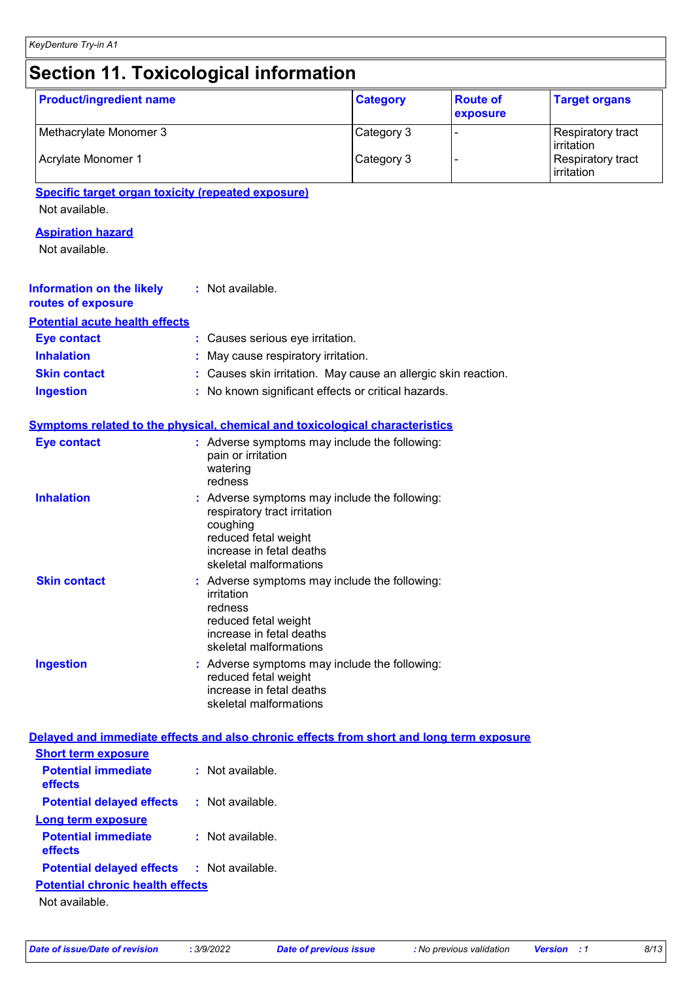| <b>Product/ingredient name</b>                                                           |                                                                                                                                                                         | <b>Category</b>                                              | <b>Route of</b><br>exposure                   | <b>Target organs</b> |  |
|------------------------------------------------------------------------------------------|-------------------------------------------------------------------------------------------------------------------------------------------------------------------------|--------------------------------------------------------------|-----------------------------------------------|----------------------|--|
| Methacrylate Monomer 3                                                                   |                                                                                                                                                                         | Category 3                                                   |                                               | Respiratory tract    |  |
| Acrylate Monomer 1                                                                       | Category 3                                                                                                                                                              |                                                              | irritation<br>Respiratory tract<br>irritation |                      |  |
| <b>Specific target organ toxicity (repeated exposure)</b><br>Not available.              |                                                                                                                                                                         |                                                              |                                               |                      |  |
| <b>Aspiration hazard</b><br>Not available.                                               |                                                                                                                                                                         |                                                              |                                               |                      |  |
| <b>Information on the likely</b><br>routes of exposure                                   | : Not available.                                                                                                                                                        |                                                              |                                               |                      |  |
| <b>Potential acute health effects</b>                                                    |                                                                                                                                                                         |                                                              |                                               |                      |  |
| <b>Eye contact</b>                                                                       | Causes serious eye irritation.                                                                                                                                          |                                                              |                                               |                      |  |
| <b>Inhalation</b>                                                                        | May cause respiratory irritation.                                                                                                                                       |                                                              |                                               |                      |  |
| <b>Skin contact</b>                                                                      |                                                                                                                                                                         | Causes skin irritation. May cause an allergic skin reaction. |                                               |                      |  |
| <b>Ingestion</b>                                                                         | No known significant effects or critical hazards.                                                                                                                       |                                                              |                                               |                      |  |
| <b>Symptoms related to the physical, chemical and toxicological characteristics</b>      |                                                                                                                                                                         |                                                              |                                               |                      |  |
| <b>Eye contact</b>                                                                       | : Adverse symptoms may include the following:<br>pain or irritation<br>watering<br>redness                                                                              |                                                              |                                               |                      |  |
| <b>Inhalation</b>                                                                        | : Adverse symptoms may include the following:<br>respiratory tract irritation<br>coughing<br>reduced fetal weight<br>increase in fetal deaths<br>skeletal malformations |                                                              |                                               |                      |  |
| <b>Skin contact</b>                                                                      | : Adverse symptoms may include the following:<br>irritation<br>redness<br>reduced fetal weight<br>increase in fetal deaths<br>skeletal malformations                    |                                                              |                                               |                      |  |
| <b>Ingestion</b>                                                                         | : Adverse symptoms may include the following:<br>reduced fetal weight<br>increase in fetal deaths<br>skeletal malformations                                             |                                                              |                                               |                      |  |
| Delayed and immediate effects and also chronic effects from short and long term exposure |                                                                                                                                                                         |                                                              |                                               |                      |  |
| <b>Short term exposure</b>                                                               |                                                                                                                                                                         |                                                              |                                               |                      |  |
| <b>Potential immediate</b><br>effects                                                    | : Not available.                                                                                                                                                        |                                                              |                                               |                      |  |
| <b>Potential delayed effects</b>                                                         | : Not available.                                                                                                                                                        |                                                              |                                               |                      |  |
| Long term exposure                                                                       |                                                                                                                                                                         |                                                              |                                               |                      |  |

**Potential immediate effects :** Not available.

**Potential delayed effects :** Not available.

### **Potential chronic health effects**

Not available.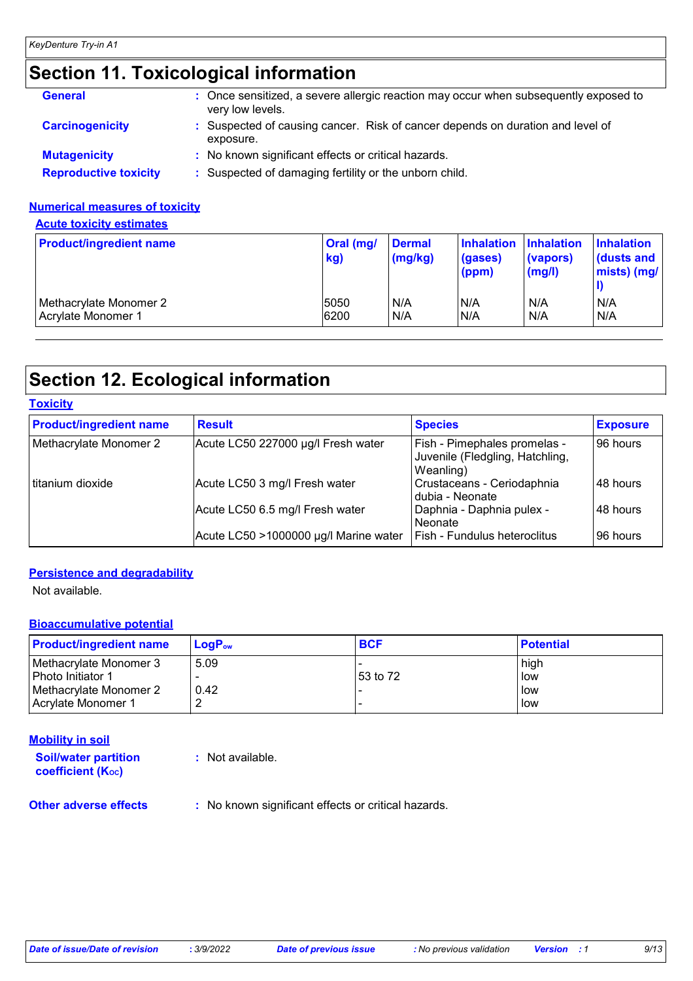# **Section 11. Toxicological information**

| <b>General</b>               | : Once sensitized, a severe allergic reaction may occur when subsequently exposed to<br>very low levels. |
|------------------------------|----------------------------------------------------------------------------------------------------------|
| <b>Carcinogenicity</b>       | : Suspected of causing cancer. Risk of cancer depends on duration and level of<br>exposure.              |
| <b>Mutagenicity</b>          | : No known significant effects or critical hazards.                                                      |
| <b>Reproductive toxicity</b> | : Suspected of damaging fertility or the unborn child.                                                   |

#### **Numerical measures of toxicity**

**Acute toxicity estimates**

| <b>Product/ingredient name</b> | Oral (mg/<br>kg) | <b>Dermal</b><br>(mg/kg) | <b>Inhalation</b><br>(gases)<br>(ppm) | <b>Inhalation</b><br>(vapors)<br>$\mathsf{(mg/l)}$ | <b>Inhalation</b><br>dusts and<br>mists) (mg/ |
|--------------------------------|------------------|--------------------------|---------------------------------------|----------------------------------------------------|-----------------------------------------------|
| Methacrylate Monomer 2         | 5050             | N/A                      | N/A                                   | N/A                                                | N/A                                           |
| Acrylate Monomer 1             | 6200             | N/A                      | N/A                                   | N/A                                                | N/A                                           |

# **Section 12. Ecological information**

| <b>Toxicity</b>                |                                       |                                                                              |                 |
|--------------------------------|---------------------------------------|------------------------------------------------------------------------------|-----------------|
| <b>Product/ingredient name</b> | <b>Result</b>                         | <b>Species</b>                                                               | <b>Exposure</b> |
| Methacrylate Monomer 2         | Acute LC50 227000 µg/l Fresh water    | Fish - Pimephales promelas -<br>Juvenile (Fledgling, Hatchling,<br>Weanling) | 96 hours        |
| l titanium dioxide             | Acute LC50 3 mg/l Fresh water         | Crustaceans - Ceriodaphnia<br>I dubia - Neonate                              | 48 hours        |
|                                | Acute LC50 6.5 mg/l Fresh water       | Daphnia - Daphnia pulex -<br>l Neonate                                       | 48 hours        |
|                                | Acute LC50 >1000000 µg/l Marine water | <b>Fish - Fundulus heteroclitus</b>                                          | 96 hours        |

#### **Persistence and degradability**

Not available.

#### **Bioaccumulative potential**

| <b>Product/ingredient name</b> | $LoaPow$ | <b>BCF</b> | <b>Potential</b> |
|--------------------------------|----------|------------|------------------|
| Methacrylate Monomer 3         | 5.09     |            | high             |
| Photo Initiator 1              |          | 53 to 72   | low              |
| Methacrylate Monomer 2         | 0.42     |            | low              |
| Acrylate Monomer 1             |          |            | low              |

#### **Mobility in soil**

**Soil/water partition coefficient (KOC)**

**:** Not available.

**Other adverse effects** : No known significant effects or critical hazards.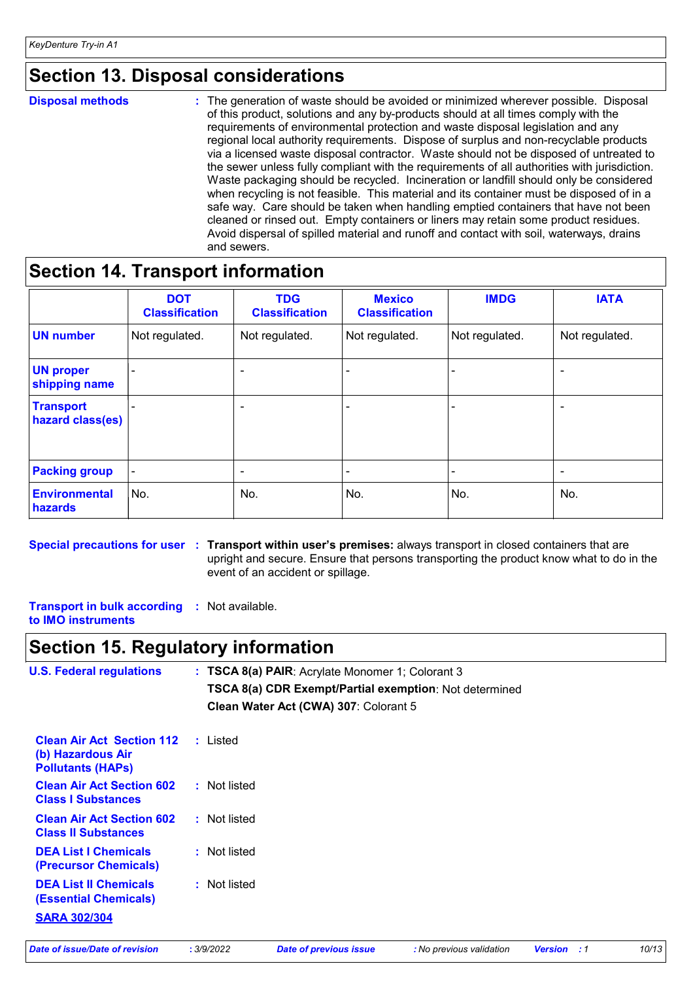### **Section 13. Disposal considerations**

**Disposal methods :**

The generation of waste should be avoided or minimized wherever possible. Disposal of this product, solutions and any by-products should at all times comply with the requirements of environmental protection and waste disposal legislation and any regional local authority requirements. Dispose of surplus and non-recyclable products via a licensed waste disposal contractor. Waste should not be disposed of untreated to the sewer unless fully compliant with the requirements of all authorities with jurisdiction. Waste packaging should be recycled. Incineration or landfill should only be considered when recycling is not feasible. This material and its container must be disposed of in a safe way. Care should be taken when handling emptied containers that have not been cleaned or rinsed out. Empty containers or liners may retain some product residues. Avoid dispersal of spilled material and runoff and contact with soil, waterways, drains and sewers.

### **Section 14. Transport information**

|                                      | <b>DOT</b><br><b>Classification</b> | <b>TDG</b><br><b>Classification</b> | <b>Mexico</b><br><b>Classification</b> | <b>IMDG</b>    | <b>IATA</b>    |
|--------------------------------------|-------------------------------------|-------------------------------------|----------------------------------------|----------------|----------------|
| <b>UN number</b>                     | Not regulated.                      | Not regulated.                      | Not regulated.                         | Not regulated. | Not regulated. |
| <b>UN proper</b><br>shipping name    |                                     |                                     |                                        |                |                |
| <b>Transport</b><br>hazard class(es) |                                     | -                                   |                                        |                |                |
| <b>Packing group</b>                 | $\overline{\phantom{a}}$            | ٠                                   | $\blacksquare$                         | -              | $\overline{a}$ |
| Environmental<br>hazards             | No.                                 | No.                                 | No.                                    | No.            | No.            |

**Special precautions for user Transport within user's premises:** always transport in closed containers that are **:** upright and secure. Ensure that persons transporting the product know what to do in the event of an accident or spillage.

**Transport in bulk according :** Not available. **to IMO instruments**

### **Section 15. Regulatory information**

| <b>U.S. Federal regulations</b>                                                   |  | : TSCA 8(a) PAIR: Acrylate Monomer 1; Colorant 3       |
|-----------------------------------------------------------------------------------|--|--------------------------------------------------------|
|                                                                                   |  | TSCA 8(a) CDR Exempt/Partial exemption: Not determined |
|                                                                                   |  | Clean Water Act (CWA) 307: Colorant 5                  |
| <b>Clean Air Act Section 112</b><br>(b) Hazardous Air<br><b>Pollutants (HAPs)</b> |  | : Listed                                               |
| <b>Clean Air Act Section 602</b><br><b>Class I Substances</b>                     |  | : Not listed                                           |
| <b>Clean Air Act Section 602</b><br><b>Class II Substances</b>                    |  | : Not listed                                           |
| <b>DEA List I Chemicals</b><br>(Precursor Chemicals)                              |  | : Not listed                                           |
| <b>DEA List II Chemicals</b><br>(Essential Chemicals)                             |  | : Not listed                                           |
| <b>SARA 302/304</b>                                                               |  |                                                        |

*Date of issue/Date of revision* **:** *3/9/2022 Date of previous issue : No previous validation Version : 1 10/13*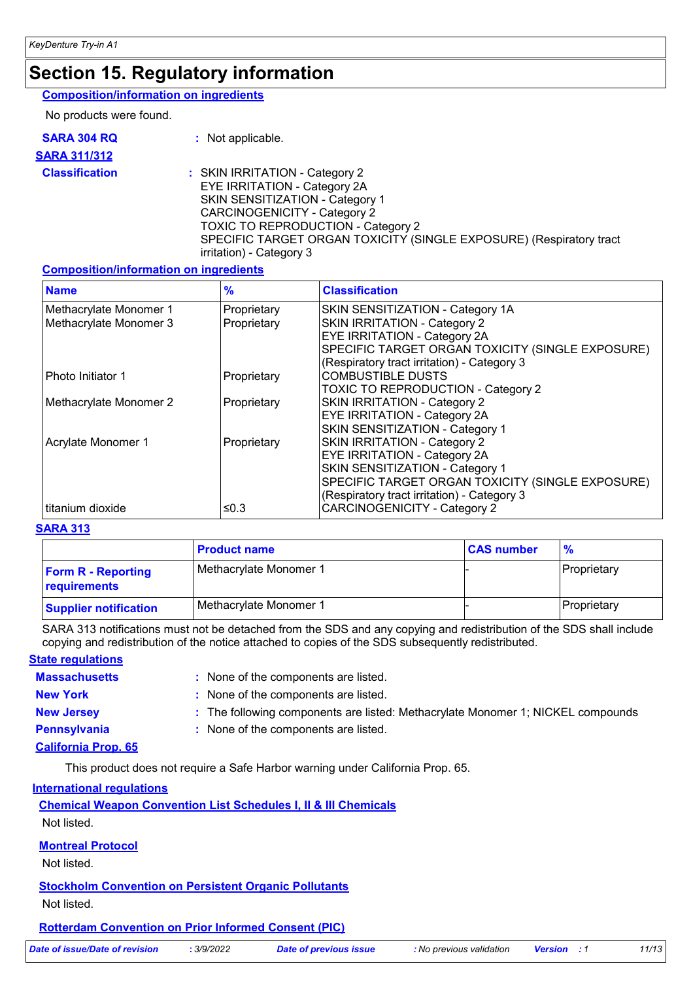### **Section 15. Regulatory information**

#### **Composition/information on ingredients**

No products were found.

| <b>SARA 304 RQ</b>    | : Not applicable.                                                                                                                                                                                                                                                                        |
|-----------------------|------------------------------------------------------------------------------------------------------------------------------------------------------------------------------------------------------------------------------------------------------------------------------------------|
| <b>SARA 311/312</b>   |                                                                                                                                                                                                                                                                                          |
| <b>Classification</b> | : SKIN IRRITATION - Category 2<br>EYE IRRITATION - Category 2A<br>SKIN SENSITIZATION - Category 1<br><b>CARCINOGENICITY - Category 2</b><br><b>TOXIC TO REPRODUCTION - Category 2</b><br>SPECIFIC TARGET ORGAN TOXICITY (SINGLE EXPOSURE) (Respiratory tract<br>irritation) - Category 3 |

#### **Composition/information on ingredients**

| <b>Name</b>            | $\frac{9}{6}$ | <b>Classification</b>                            |
|------------------------|---------------|--------------------------------------------------|
| Methacrylate Monomer 1 | Proprietary   | SKIN SENSITIZATION - Category 1A                 |
| Methacrylate Monomer 3 | Proprietary   | SKIN IRRITATION - Category 2                     |
|                        |               | <b>EYE IRRITATION - Category 2A</b>              |
|                        |               | SPECIFIC TARGET ORGAN TOXICITY (SINGLE EXPOSURE) |
|                        |               | (Respiratory tract irritation) - Category 3      |
| Photo Initiator 1      | Proprietary   | <b>COMBUSTIBLE DUSTS</b>                         |
|                        |               | <b>TOXIC TO REPRODUCTION - Category 2</b>        |
| Methacrylate Monomer 2 | Proprietary   | SKIN IRRITATION - Category 2                     |
|                        |               | <b>EYE IRRITATION - Category 2A</b>              |
|                        |               | SKIN SENSITIZATION - Category 1                  |
| Acrylate Monomer 1     | Proprietary   | SKIN IRRITATION - Category 2                     |
|                        |               | EYE IRRITATION - Category 2A                     |
|                        |               | SKIN SENSITIZATION - Category 1                  |
|                        |               | SPECIFIC TARGET ORGAN TOXICITY (SINGLE EXPOSURE) |
|                        |               | (Respiratory tract irritation) - Category 3      |
| titanium dioxide       | ≤0.3          | <b>CARCINOGENICITY - Category 2</b>              |

#### **SARA 313**

|                                           | <b>Product name</b>    | <b>CAS number</b> |                     |
|-------------------------------------------|------------------------|-------------------|---------------------|
| <b>Form R - Reporting</b><br>requirements | Methacrylate Monomer 1 |                   | <b>IProprietary</b> |
| <b>Supplier notification</b>              | Methacrylate Monomer 1 |                   | Proprietary         |

SARA 313 notifications must not be detached from the SDS and any copying and redistribution of the SDS shall include copying and redistribution of the notice attached to copies of the SDS subsequently redistributed.

#### **State regulations**

| <b>Massachusetts</b> | : None of the components are listed.                                            |
|----------------------|---------------------------------------------------------------------------------|
| <b>New York</b>      | : None of the components are listed.                                            |
| <b>New Jersey</b>    | : The following components are listed: Methacrylate Monomer 1; NICKEL compounds |
| Pennsylvania         | : None of the components are listed.                                            |
|                      |                                                                                 |

#### **California Prop. 65**

This product does not require a Safe Harbor warning under California Prop. 65.

#### **International regulations**

**Chemical Weapon Convention List Schedules I, II & III Chemicals** Not listed.

#### **Montreal Protocol**

Not listed.

**Stockholm Convention on Persistent Organic Pollutants** Not listed.

**Rotterdam Convention on Prior Informed Consent (PIC)**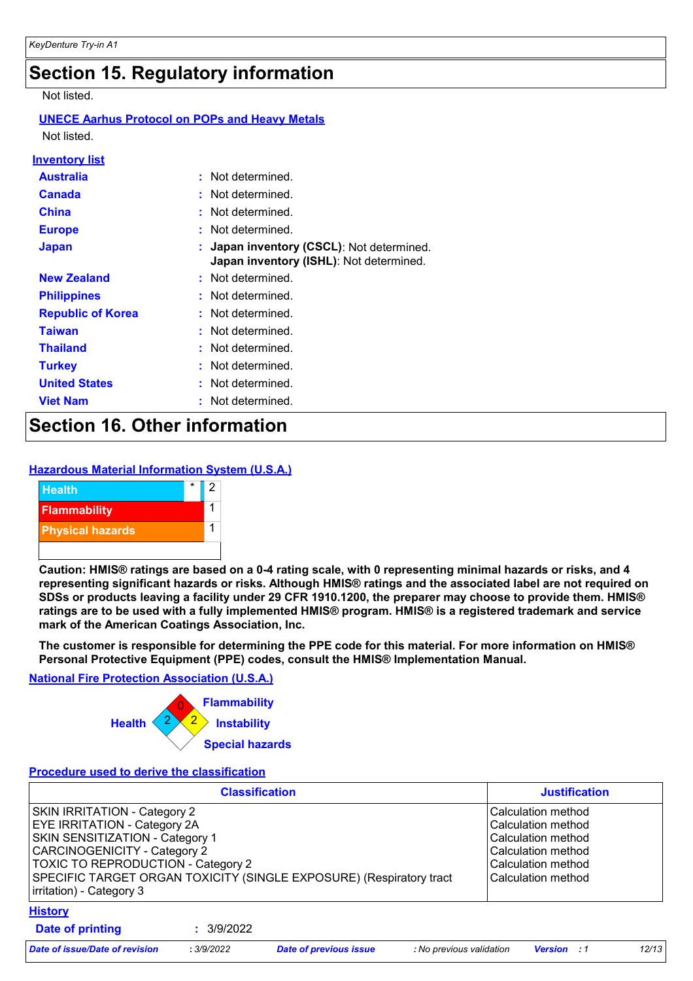## **Section 15. Regulatory information**

Not listed.

#### **UNECE Aarhus Protocol on POPs and Heavy Metals**

Not listed.

| <u>Inventory list</u>    |                                                                                      |
|--------------------------|--------------------------------------------------------------------------------------|
| <b>Australia</b>         | : Not determined.                                                                    |
| <b>Canada</b>            | : Not determined.                                                                    |
| <b>China</b>             | : Not determined.                                                                    |
| <b>Europe</b>            | : Not determined.                                                                    |
| <b>Japan</b>             | : Japan inventory (CSCL): Not determined.<br>Japan inventory (ISHL): Not determined. |
| <b>New Zealand</b>       | : Not determined.                                                                    |
| <b>Philippines</b>       | : Not determined.                                                                    |
| <b>Republic of Korea</b> | : Not determined.                                                                    |
| <b>Taiwan</b>            | : Not determined.                                                                    |
| <b>Thailand</b>          | : Not determined.                                                                    |
| <b>Turkey</b>            | : Not determined.                                                                    |
| <b>United States</b>     | Not determined.                                                                      |
| <b>Viet Nam</b>          | Not determined.                                                                      |

# **Section 16. Other information**

#### **Hazardous Material Information System (U.S.A.)**



**Caution: HMIS® ratings are based on a 0-4 rating scale, with 0 representing minimal hazards or risks, and 4 representing significant hazards or risks. Although HMIS® ratings and the associated label are not required on SDSs or products leaving a facility under 29 CFR 1910.1200, the preparer may choose to provide them. HMIS® ratings are to be used with a fully implemented HMIS® program. HMIS® is a registered trademark and service mark of the American Coatings Association, Inc.**

**The customer is responsible for determining the PPE code for this material. For more information on HMIS® Personal Protective Equipment (PPE) codes, consult the HMIS® Implementation Manual.**

#### **National Fire Protection Association (U.S.A.)**



#### **Procedure used to derive the classification**

|                                                                                                                                                                                                                                                                                               |            | <b>Justification</b>          |                          |                                                                                                                                  |       |
|-----------------------------------------------------------------------------------------------------------------------------------------------------------------------------------------------------------------------------------------------------------------------------------------------|------------|-------------------------------|--------------------------|----------------------------------------------------------------------------------------------------------------------------------|-------|
| SKIN IRRITATION - Category 2<br><b>EYE IRRITATION - Category 2A</b><br>SKIN SENSITIZATION - Category 1<br><b>CARCINOGENICITY - Category 2</b><br><b>TOXIC TO REPRODUCTION - Category 2</b><br>SPECIFIC TARGET ORGAN TOXICITY (SINGLE EXPOSURE) (Respiratory tract<br>irritation) - Category 3 |            |                               |                          | Calculation method<br>Calculation method<br>Calculation method<br>Calculation method<br>Calculation method<br>Calculation method |       |
| <b>History</b><br>Date of printing                                                                                                                                                                                                                                                            | : 3/9/2022 |                               |                          |                                                                                                                                  |       |
| <b>Date of issue/Date of revision</b>                                                                                                                                                                                                                                                         | : 3/9/2022 | <b>Date of previous issue</b> | : No previous validation | <b>Version</b> : 1                                                                                                               | 12/13 |